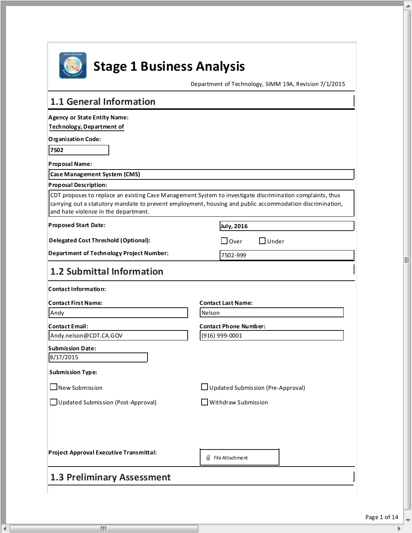

 $\lceil$  (

 $\mathbf{H}$ 

# **Stage 1 Business Analysis**

Department of Technology, SIMM 19A, Revision 7/1/2015

| 1.1 General Information                         |                                                                                                                                                                                                                       |
|-------------------------------------------------|-----------------------------------------------------------------------------------------------------------------------------------------------------------------------------------------------------------------------|
| <b>Agency or State Entity Name:</b>             |                                                                                                                                                                                                                       |
| Technology, Department of                       |                                                                                                                                                                                                                       |
| <b>Organization Code:</b>                       |                                                                                                                                                                                                                       |
| 7502                                            |                                                                                                                                                                                                                       |
| <b>Proposal Name:</b>                           |                                                                                                                                                                                                                       |
| <b>Case Management System (CMS)</b>             |                                                                                                                                                                                                                       |
| <b>Proposal Description:</b>                    |                                                                                                                                                                                                                       |
| and hate violence in the department.            | CDT proposes to replace an existing Case Management System to investigate discrimination complaints, thus<br>carrying out a statutory mandate to prevent employment, housing and public accommodation discrimination, |
| <b>Proposed Start Date:</b>                     | July, 2016                                                                                                                                                                                                            |
| <b>Delegated Cost Threshold (Optional):</b>     | $\exists$ Over<br>$\exists$ Under                                                                                                                                                                                     |
| <b>Department of Technology Project Number:</b> | 7502-999                                                                                                                                                                                                              |
| 1.2 Submittal Information                       |                                                                                                                                                                                                                       |
| <b>Contact Information:</b>                     |                                                                                                                                                                                                                       |
| <b>Contact First Name:</b>                      | <b>Contact Last Name:</b>                                                                                                                                                                                             |
| Andy                                            | Nelson                                                                                                                                                                                                                |
| <b>Contact Email:</b>                           | <b>Contact Phone Number:</b>                                                                                                                                                                                          |
| Andy.nelson@CDT.CA.GOV                          | (916) 999-0001                                                                                                                                                                                                        |
| Submission Date:                                |                                                                                                                                                                                                                       |
| 8/17/2015                                       |                                                                                                                                                                                                                       |
| <b>Submission Type:</b>                         |                                                                                                                                                                                                                       |
| $\Box$ New Submission                           | □ Updated Submission (Pre-Approval)                                                                                                                                                                                   |
| □ Updated Submission (Post-Approval)            | $\exists$ Withdraw Submission                                                                                                                                                                                         |
|                                                 |                                                                                                                                                                                                                       |
| Project Approval Executive Transmittal:         | w<br>File Attachment                                                                                                                                                                                                  |
| <b>1.3 Preliminary Assessment</b>               |                                                                                                                                                                                                                       |

À

Ξ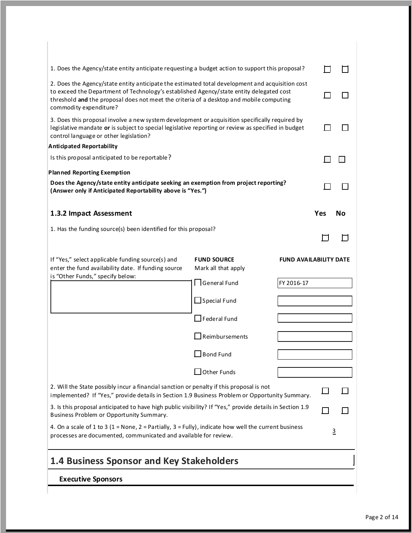| 1. Does the Agency/state entity anticipate requesting a budget action to support this proposal?                                                                                                                                                                                                                 |                                           |                               |     |                |
|-----------------------------------------------------------------------------------------------------------------------------------------------------------------------------------------------------------------------------------------------------------------------------------------------------------------|-------------------------------------------|-------------------------------|-----|----------------|
| 2. Does the Agency/state entity anticipate the estimated total development and acquisition cost<br>to exceed the Department of Technology's established Agency/state entity delegated cost<br>threshold and the proposal does not meet the criteria of a desktop and mobile computing<br>commodity expenditure? |                                           |                               |     |                |
| 3. Does this proposal involve a new system development or acquisition specifically required by<br>legislative mandate or is subject to special legislative reporting or review as specified in budget<br>control language or other legislation?                                                                 |                                           |                               |     |                |
| Anticipated Reportability                                                                                                                                                                                                                                                                                       |                                           |                               |     |                |
| Is this proposal anticipated to be reportable?                                                                                                                                                                                                                                                                  |                                           |                               |     |                |
| <b>Planned Reporting Exemption</b>                                                                                                                                                                                                                                                                              |                                           |                               |     |                |
| Does the Agency/state entity anticipate seeking an exemption from project reporting?<br>(Answer only if Anticipated Reportability above is "Yes.")                                                                                                                                                              |                                           |                               |     |                |
| 1.3.2 Impact Assessment                                                                                                                                                                                                                                                                                         |                                           |                               | Yes | Nο             |
| 1. Has the funding source(s) been identified for this proposal?                                                                                                                                                                                                                                                 |                                           |                               |     |                |
| If "Yes," select applicable funding source(s) and<br>enter the fund availability date. If funding source                                                                                                                                                                                                        | <b>FUND SOURCE</b><br>Mark all that apply | <b>FUND AVAILABILITY DATE</b> |     |                |
| is "Other Funds," specify below:                                                                                                                                                                                                                                                                                | □General Fund                             | FY 2016-17                    |     |                |
|                                                                                                                                                                                                                                                                                                                 | $\bigsqcup$ Special Fund                  |                               |     |                |
|                                                                                                                                                                                                                                                                                                                 | $\Box$ Federal Fund                       |                               |     |                |
|                                                                                                                                                                                                                                                                                                                 | $\Box$ Reimbursements                     |                               |     |                |
|                                                                                                                                                                                                                                                                                                                 | $\Box$ Bond Fund                          |                               |     |                |
|                                                                                                                                                                                                                                                                                                                 | $\Box$ Other Funds                        |                               |     |                |
| 2. Will the State possibly incur a financial sanction or penalty if this proposal is not<br>implemented? If "Yes," provide details in Section 1.9 Business Problem or Opportunity Summary.                                                                                                                      |                                           |                               |     |                |
| 3. Is this proposal anticipated to have high public visibility? If "Yes," provide details in Section 1.9<br>Business Problem or Opportunity Summary.                                                                                                                                                            |                                           |                               |     |                |
| 4. On a scale of 1 to 3 (1 = None, 2 = Partially, 3 = Fully), indicate how well the current business<br>processes are documented, communicated and available for review.                                                                                                                                        |                                           |                               |     | $\overline{3}$ |
| <b>1.4 Business Sponsor and Key Stakeholders</b>                                                                                                                                                                                                                                                                |                                           |                               |     |                |
| <b>Executive Sponsors</b>                                                                                                                                                                                                                                                                                       |                                           |                               |     |                |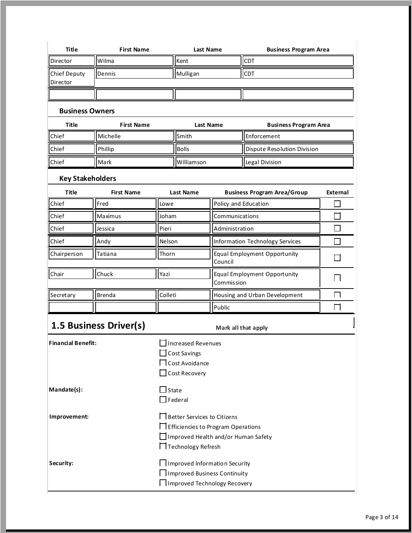| Title                           | <b>First Name</b> | <b>Last Name</b> | <b>Business Program Area</b> |
|---------------------------------|-------------------|------------------|------------------------------|
| Director                        | <b>I</b> Wilma    | <b>I</b> Kent    | CD1                          |
| <b>Chief Deputy</b><br>Director | <b>IDennis</b>    | Mulligan         | <b>CDT</b>                   |
|                                 |                   |                  |                              |

#### **Business Owners**

r.

| Title          | <b>First Name</b> | Last Name          | <b>Business Program Area</b> |
|----------------|-------------------|--------------------|------------------------------|
| <b>Chief</b>   | l Michelle        | lSmith             | Enforcement                  |
| <b>Chief</b>   | Phillip           | <b>Bolls</b>       | Dispute Resolution Division  |
| <b>I</b> Chief | l Mark            | <b>IWilliamson</b> | <b>ILegal Division</b>       |

### **Key Stakeholders**

| Title        | <b>First Name</b> | Last Name | <b>Business Program Area/Group</b>         | External |
|--------------|-------------------|-----------|--------------------------------------------|----------|
| <b>Chief</b> | <b>Fred</b>       | Lowe      | Policy and Education                       |          |
| <b>Chief</b> | Maximus           | Joham     | Communications                             |          |
| <b>Chief</b> | Jessica           | Pieri     | Administration                             |          |
| Chief        | Andy              | Nelson    | Information Technology Services            |          |
| Chairperson  | Tatiana           | Thorn     | Equal Employment Opportunity<br>Council    |          |
| Chair        | Chuck             | Yazi      | Equal Employment Opportunity<br>Commission |          |
| Secretary    | Brenda            | Colleti   | Housing and Urban Development              |          |
|              |                   |           | Public                                     |          |

## **1.5 Business Driver(s)** Mark all that apply

| <b>Financial Benefit:</b> | <b>Increased Revenues</b><br><b>Cost Savings</b><br>$\Box$ Cost Avoidance<br>$\Box$ Cost Recovery                                              |
|---------------------------|------------------------------------------------------------------------------------------------------------------------------------------------|
| Mandate(s):               | $\Box$ State<br>$\Box$ Federal                                                                                                                 |
| Improvement:              | □ Better Services to Citizens<br>$\Box$ Efficiencies to Program Operations<br>$\Box$ Improved Health and/or Human Safety<br>Technology Refresh |
| Security:                 | Improved Information Security<br>  Improved Business Continuity<br>Improved Technology Recovery                                                |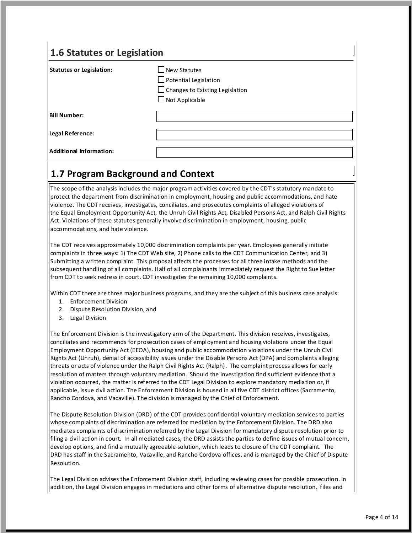### **1.6 Statutes or Legislation**

| <b>Statutes or Legislation:</b> | $\square$ New Statutes<br>$\Box$ Potential Legislation<br>$\Box$ Changes to Existing Legislation<br>$\Box$ Not Applicable |
|---------------------------------|---------------------------------------------------------------------------------------------------------------------------|
| <b>Bill Number:</b>             |                                                                                                                           |
| <b>Legal Reference:</b>         |                                                                                                                           |
| <b>Additional Information:</b>  |                                                                                                                           |

### **1.7 Program Background and Context**

The scope of the analysis includes the major program activities covered by the CDT's statutory mandate to protect the department from discrimination in employment, housing and public accommodations, and hate violence. The CDT receives, investigates, conciliates, and prosecutes complaints of alleged violations of the Equal Employment Opportunity Act, the Unruh Civil Rights Act, Disabled Persons Act, and Ralph Civil Rights Act. Violations of these statutes generally involve discrimination in employment, housing, public accommodations, and hate violence.

The CDT receives approximately 10,000 discrimination complaints per year. Employees generally initiate complaints in three ways: 1) The CDT Web site, 2) Phone calls to the CDT Communication Center, and 3) Submitting a written complaint. This proposal affects the processes for all three intake methods and the subsequent handling of all complaints. Half of all complainants immediately request the Right to Sue letter from CDT to seek redress in court. CDT investigates the remaining 10,000 complaints.

Within CDT there are three major business programs, and they are the subject of this business case analysis:

- 1. Enforcement Division
- 2. Dispute Resolution Division, and
- 3. Legal Division

The Enforcement Division is the investigatory arm of the Department. This division receives, investigates, conciliates and recommends for prosecution cases of employment and housing violations under the Equal Employment Opportunity Act (EEOA), housing and public accommodation violations under the Unruh Civil Rights Act (Unruh), denial of accessibility issues under the Disable Persons Act (DPA) and complaints alleging threats or acts of violence under the Ralph Civil Rights Act (Ralph). The complaint process allows for early resolution of matters through voluntary mediation. Should the investigation find sufficient evidence that a violation occurred, the matter is referred to the CDT Legal Division to explore mandatory mediation or, if applicable, issue civil action. The Enforcement Division is housed in all five CDT district offices (Sacramento, Rancho Cordova, and Vacaville). The division is managed by the Chief of Enforcement.

The Dispute Resolution Division (DRD) of the CDT provides confidential voluntary mediation services to parties whose complaints of discrimination are referred for mediation by the Enforcement Division. The DRD also mediates complaints of discrimination referred by the Legal Division for mandatory dispute resolution prior to filing a civil action in court. In all mediated cases, the DRD assists the parties to define issues of mutual concern, develop options, and find a mutually agreeable solution, which leads to closure of the CDT complaint. The DRD has staff in the Sacramento, Vacaville, and Rancho Cordova offices, and is managed by the Chief of Dispute Resolution.

The Legal Division advises the Enforcement Division staff, including reviewing cases for possible prosecution. In addition, the Legal Division engages in mediations and other forms of alternative dispute resolution, files and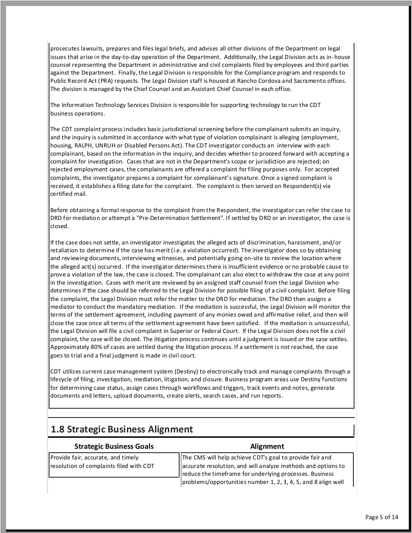prosecutes lawsuits, prepares and files legal briefs, and advises all other divisions of the Department on legal issues that arise in the day-to-day operation of the Department. Additionally, the Legal Division acts as in-house counsel representing the Department in administrative and civil complaints filed by employees and third parties against the Department. Finally, the Legal Division is responsible for the Compliance program and responds to Public Record Act (PRA) requests. The Legal Division staff is housed at Rancho Cordova and Sacramento offices. The division is managed by the Chief Counsel and an Assistant Chief Counsel in each office.

The Information Technology Services Division is responsible for supporting technology to run the CDT<br>business operations.

 The CDT complaint process includes basic jurisdictional screening before the complainant submits an inquiry, and the inquiry is submitted in accordance with what type of violation complainant is alleging (employment, housing, RALPH, UNRUH or Disabled Persons Act). The CDT investigator conducts an interview with each complainant, based on the information in the inquiry, and decides whether to proceed forward with accepting a complaint for investigation. Cases that are not in the Department's scope or jurisdiction are rejected; on rejected employment cases, the complainants are offered a complaint for filing purposes only. For accepted complaints, the investigator prepares a complaint for complainant's signature. Once a signed complaint is received, it establishes a filing date for the complaint. The complaint is then served on Respondent(s) via certified mail.

 Before obtaining a formal response to the complaint from the Respondent, the investigator can refer the case to DRD for mediation or attempt a "Pre-Determination Settlement". If settled by DRD or an investigator, the case is closed.

 If the case does not settle, an investigator investigates the alleged acts of discrimination, harassment, and/or retaliation to determine if the case has merit (i.e. a violation occurred). The investigator does so by obtaining and reviewing documents, interviewing witnesses, and potentially going on-site to review the location where the alleged act(s) occurred. If the investigator determines there is insufficient evidence or no probable cause to prove a violation of the law, the case is closed. The complainant can also elect to withdraw the case at any point in the investigation. Cases with merit are reviewed by an assigned staff counsel from the Legal Division who determines if the case should be referred to the Legal Division for possible filing of a civil complaint. Before filing the complaint, the Legal Division must refer the matter to the DRD for mediation. The DRD then assigns a mediator to conduct the mandatory mediation. If the mediation is successful, the Legal Division will monitor the terms of the settlement agreement, including payment of any monies owed and affirmative relief, and then will close the case once all terms of the settlement agreement have been satisfied. If the mediation is unsuccessful, the Legal Division will file a civil complaint in Superior or Federal Court. If the Legal Division does not file a civil complaint, the case will be closed. The litigation process continues until a judgment is issued or the case settles. Approximately 80% of cases are settled during the litigation process. If a settlement is not reached, the case goes to trial and a final judgment is made in civil court.

 CDT utilizes current case management system (Destiny) to electronically track and manage complaints through a lifecycle of filing, investigation, mediation, litigation, and closure. Business program areas use Destiny functions for determining case status, assign cases through workflows and triggers, track events and notes, generate<br>documents and letters, upload documents, create alerts, search cases, and run reports. documents and letters, upload documents, create alerts, search cases, and run reports.

### **1.8 Strategic Business Alignment**

### **Communist Communist Communist Communist Communist Communist Communist Communist Communist Communist Communist Communist Communist Communist Communist Communist Communist Communist Communist Communist Communist Communist C**

Provide fair, accurate, and timely resolution of complaints filed with CDT

The CMS will help achieve CDT's goal to provide fair and The CMS will help achieve CDT's goal to provide fair and<br>accurate resolution, and will analyze methods and options to reduce the timeframe for underlying processes. Business reduce the timeframe for underlying processes. Business<br>problems/opportunities number 1, 2, 3, 4, 5, and 8 align well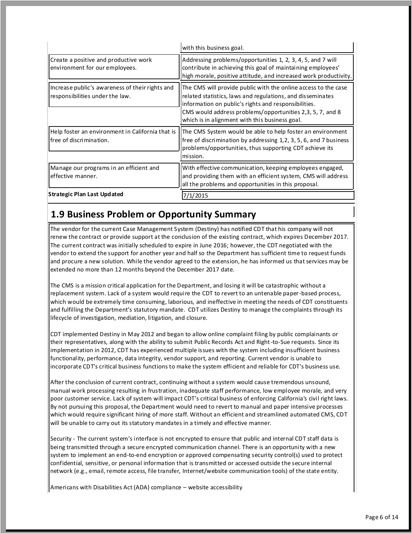|                                                                                    | with this business goal.                                                                                                                                                                                                                                                                            |
|------------------------------------------------------------------------------------|-----------------------------------------------------------------------------------------------------------------------------------------------------------------------------------------------------------------------------------------------------------------------------------------------------|
| Create a positive and productive work<br>environment for our employees.            | Addressing problems/opportunities 1, 2, 3, 4, 5, and 7 will<br>contribute in achieving this goal of maintaining employees'<br>high morale, positive attitude, and increased work productivity.                                                                                                      |
| Increase public's awareness of their rights and<br>responsibilities under the law. | The CMS will provide public with the online access to the case<br>related statistics, laws and regulations, and disseminates<br>information on public's rights and responsibilities.<br>CMS would address problems/opportunities 2,3, 5, 7, and 8<br>which is in alignment with this business goal. |
| Help foster an environment in California that is<br>l free of discrimination.      | The CMS System would be able to help foster an environment<br>free of discrimination by addressing 1, 2, 3, 5, 6, and 7 business<br>problems/opportunities, thus supporting CDT achieve its<br>mission.                                                                                             |
| Manage our programs in an efficient and<br>effective manner.                       | With effective communication, keeping employees engaged,<br>and providing them with an efficient system, CMS will address<br>all the problems and opportunities in this proposal.                                                                                                                   |
| Strategic Plan Last Updated                                                        | /1/2015                                                                                                                                                                                                                                                                                             |

### **1.9 Business Problem or Opportunity Summary**

 The vendor for the current Case Management System (Destiny) has notified CDT that his company will not renew the contract or provide support at the conclusion of the existing contract, which expires December 2017. The current contract was initially scheduled to expire in June 2016; however, the CDT negotiated with the vendor to extend the support for another year and half so the Department has sufficient time to request funds and procure a new solution. While the vendor agreed to the extension, he has informed us that services may be extended no more than 12 months beyond the December 2017 date.

 The CMS is a mission critical application for the Department, and losing it will be catastrophic without a replacement system. Lack of a system would require the CDT to revert to an untenable paper -based process, which would be extremely time consuming, laborious, and ineffective in meeting the needs of CDT constituents and fulfilling the Department's statutory mandate. CDT utilizes Destiny to manage the complaints through its lifecycle of investigation, mediation, litigation, and closure.

 CDT implemented Destiny in May 2012 and began to allow online complaint filing by public complainants or their representatives, along with the ability to submit Public Records Act and Right -to-Sue requests. Since its implementation in 2012, CDT has experienced multiple issues with the system including insufficient business functionality, performance, data integrity, vendor support, and reporting. Current vendor is unable to incorporate CDT's critical business functions to make the system efficient and reliable for CDT's business use.

 After the conclusion of current contract, continuing without a system would cause tremendous unsound, manual work processing resulting in frustration, inadequate staff performance, low employee morale, and very poor customer service. Lack of system will impact CDT's critical business of enforcing California's civil right laws. By not pursuing this proposal, the Department would need to revert to manual and paper intensive processes which would require significant hiring of more staff. Without an efficient and streamlined automated CMS, CDT will be unable to carry out its statutory mandates in a timely and effective manner.

 Security - The current system's interface is not encrypted to ensure that public and internal CDT staff data is being transmitted through a secure encrypted communication channel. There is an opportunity with a new system to implement an end-to-end encryption or approved compensating security control(s) used to protect confidential, sensitive, or personal information that is transmitted or accessed outside the secure internal network (e.g., email, remote access, file transfer, Internet/website communication tools) of the state entity.

Americans with Disabilities Act (ADA) compliance – website accessibility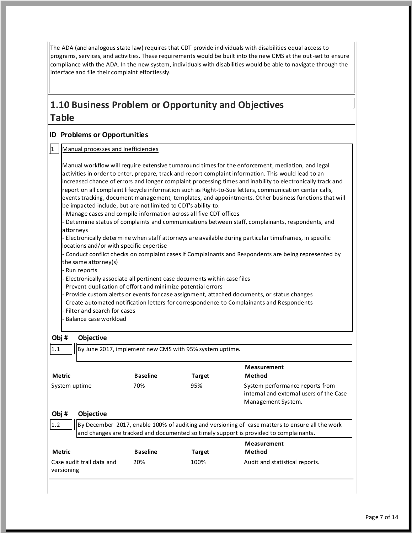The ADA (and analogous state law) requires that CDT provide individuals with disabilities equal access to programs, services, and activities. These requirements would be built into the new CMS at the out -set to ensure compliance with the ADA. In the new system, individuals with disabilities would be able to navigate through the interface and file their complaint effortlessly.

### **1.10 Business Problem or Opportunity and Objectives Table**

#### **ID Problems or Opportunities**

|  | 1   Manual processes and Inefficiencies |  |
|--|-----------------------------------------|--|
|  |                                         |  |

 Manual workflow will require extensive turnaround times for the enforcement, mediation, and legal activities in order to enter, prepare, track and report complaint information. This would lead to an increased chance of errors and longer complaint processing times and inability to electronically track and report on all complaint lifecycle information such as Right-to-Sue letters, communication center calls, events tracking, document management, templates, and appointments. Other business functions that will be impacted include, but are not limited to CDT's ability to: - Manage cases and compile information across all five CDT offices - Determine status of complaints and communications between staff, complainants, respondents, and - Electronically determine when staff attorneys are available during particular timeframes, in specific locations and/or with specific expertise - Conduct conflict checks on complaint cases if Complainants and Respondents are being represented by the same attorney(s) - Electronically associate all pertinent case documents within case files - Prevent duplication of effort and minimize potential errors - Provide custom alerts or events for case assignment, attached documents, or status changes - Create automated notification letters for correspondence to Complainants and Respondents - Filter and search for cases - Balance case workload By June 2017, implement new CMS with 95% system uptime. attorneys - Run reports **Obj #**   $1.1$ **Objective** 

| Metric        |                           | <b>Baseline</b> | <b>Target</b> | Measurement<br>Method                                                                                                                                                                    |
|---------------|---------------------------|-----------------|---------------|------------------------------------------------------------------------------------------------------------------------------------------------------------------------------------------|
| System uptime |                           | 70%             | 95%           | System performance reports from<br>internal and external users of the Case<br>Management System.                                                                                         |
| Obj#          | <b>Objective</b>          |                 |               |                                                                                                                                                                                          |
| 1.2           |                           |                 |               | By December 2017, enable 100% of auditing and versioning of case matters to ensure all the work<br>and changes are tracked and documented so timely support is provided to complainants. |
| Metric        |                           | <b>Baseline</b> | <b>Target</b> | <b>Measurement</b><br>Method                                                                                                                                                             |
| versioning    | Case audit trail data and | 20%             | 100%          | Audit and statistical reports.                                                                                                                                                           |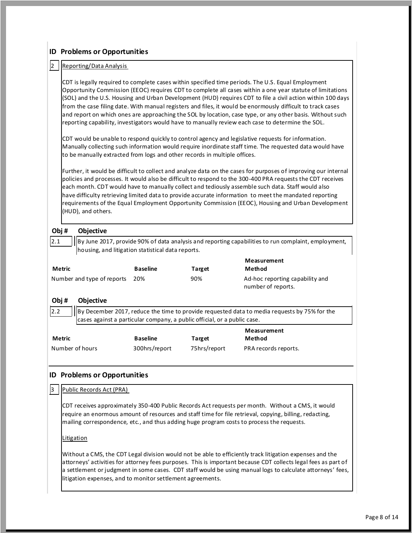#### By December 2017, reduce the time to provide requested data to media requests by 75% for the cases against a particular company, a public official, or a public case. CDT receives approximately 350-400 Public Records Act requests per month. Without a CMS, it would require an enormous amount of resources and staff time for file retrieval, copying, billing, redacting, mailing correspondence, etc., and thus adding huge program costs to process the requests. **ID Problems or Opportunities**  Reporting/Data Analysis CDT is legally required to complete cases within specified time periods. The U.S. Equal Employment Opportunity Commission (EEOC) requires CDT to complete all cases within a one year statute of limitations (SOL) and the U.S. Housing and Urban Development (HUD) requires CDT to file a civil action within 100 days from the case filing date. With manual registers and files, it would be enormously difficult to track cases and report on which ones are approaching the SOL by location, case type, or any other basis. Without such reporting capability, investigators would have to manually review each case to determine the SOL. CDT would be unable to respond quickly to control agency and legislative requests for information. Manually collecting such information would require inordinate staff time. The requested data would have to be manually extracted from logs and other records in multiple offices. Further, it would be difficult to collect and analyze data on the cases for purposes of improving our internal policies and processes. It would also be difficult to respond to the 300-400 PRA requests the CDT receives each month. CDT would have to manually collect and tediously assemble such data. Staff would also have difficulty retrieving limited data to provide accurate information to meet the mandated reporting requirements of the Equal Employment Opportunity Commission (EEOC), Housing and Urban Development (HUD), and others. **Obj #**   $|2.1|$ **Objective**   $||$ By June 2017, provide 90% of data analysis and reporting capabilities to run complaint, employment, housing, and litigation statistical data reports. **Measurement Method**  Ad-hoc reporting capability and number of reports. **Metric**  Number and type of reports 20% **Baseline Target**  90% **Obj #**   $12.2$ **Objective Metric**  Number of hours **Baseline**  300hrs/report **Target**  75hrs/report **Measurement Method**  PRA records reports. **ID Problems or Opportunities**  3 | Public Records Act (PRA) Litigation

 Without a CMS, the CDT Legal division would not be able to efficiently track litigation expenses and the attorneys' activities for attorney fees purposes. This is important because CDT collects legal fees as part of a settlement or judgment in some cases. CDT staff would be using manual logs to calculate attorneys' fees, litigation expenses, and to monitor settlement agreements.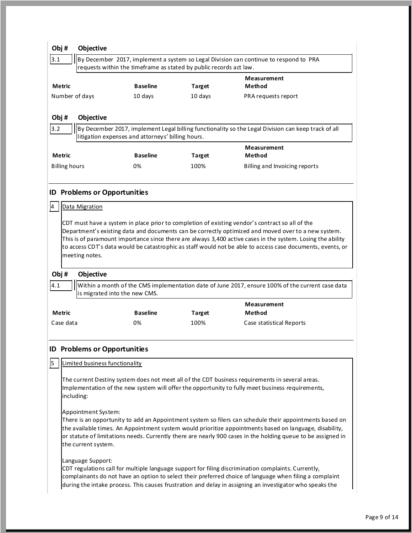| Obj# |                      | <b>Objective</b>                    |                                                   |                                                                    |                                                                                                                                                                                                        |
|------|----------------------|-------------------------------------|---------------------------------------------------|--------------------------------------------------------------------|--------------------------------------------------------------------------------------------------------------------------------------------------------------------------------------------------------|
| 3.1  |                      |                                     |                                                   |                                                                    | By December 2017, implement a system so Legal Division can continue to respond to PRA                                                                                                                  |
|      |                      |                                     |                                                   | requests within the timeframe as stated by public records act law. |                                                                                                                                                                                                        |
|      | Metric               |                                     | <b>Baseline</b>                                   | <b>Target</b>                                                      | Measurement<br>Method                                                                                                                                                                                  |
|      |                      | Number of days                      | 10 days                                           | 10 days                                                            | PRA requests report                                                                                                                                                                                    |
|      |                      |                                     |                                                   |                                                                    |                                                                                                                                                                                                        |
| Obj# |                      | Objective                           |                                                   |                                                                    |                                                                                                                                                                                                        |
| 3.2  |                      |                                     | litigation expenses and attorneys' billing hours. |                                                                    | By December 2017, implement Legal billing functionality so the Legal Division can keep track of all                                                                                                    |
|      |                      |                                     |                                                   |                                                                    | Measurement                                                                                                                                                                                            |
|      | Metric               |                                     | <b>Baseline</b>                                   | <b>Target</b>                                                      | Method                                                                                                                                                                                                 |
|      | <b>Billing hours</b> |                                     | 0%                                                | 100%                                                               | Billing and Invoicing reports                                                                                                                                                                          |
|      |                      |                                     |                                                   |                                                                    |                                                                                                                                                                                                        |
| ID.  |                      | <b>Problems or Opportunities</b>    |                                                   |                                                                    |                                                                                                                                                                                                        |
| 4    |                      | Data Migration                      |                                                   |                                                                    |                                                                                                                                                                                                        |
|      |                      |                                     |                                                   |                                                                    |                                                                                                                                                                                                        |
|      |                      |                                     |                                                   |                                                                    | CDT must have a system in place prior to completion of existing vendor's contract so all of the<br>Department's existing data and documents can be correctly optimized and moved over to a new system. |
|      |                      |                                     |                                                   |                                                                    | This is of paramount importance since there are always 3,400 active cases in the system. Losing the ability                                                                                            |
|      |                      |                                     |                                                   |                                                                    | to access CDT's data would be catastrophic as staff would not be able to access case documents, events, or                                                                                             |
|      |                      | meeting notes.                      |                                                   |                                                                    |                                                                                                                                                                                                        |
| Obj# |                      | Objective                           |                                                   |                                                                    |                                                                                                                                                                                                        |
| 4.1  |                      |                                     |                                                   |                                                                    | Within a month of the CMS implementation date of June 2017, ensure 100% of the current case data                                                                                                       |
|      |                      | is migrated into the new CMS.       |                                                   |                                                                    |                                                                                                                                                                                                        |
|      |                      |                                     |                                                   |                                                                    | Measurement                                                                                                                                                                                            |
|      | <b>Metric</b>        |                                     | <b>Baseline</b>                                   | <b>Target</b>                                                      | Method                                                                                                                                                                                                 |
|      | Case data            |                                     | 0%                                                | 100%                                                               | Case statistical Reports                                                                                                                                                                               |
|      |                      |                                     |                                                   |                                                                    |                                                                                                                                                                                                        |
|      |                      | <b>ID Problems or Opportunities</b> |                                                   |                                                                    |                                                                                                                                                                                                        |
| 5    |                      | Limited business functionality      |                                                   |                                                                    |                                                                                                                                                                                                        |
|      |                      |                                     |                                                   |                                                                    | The current Destiny system does not meet all of the CDT business requirements in several areas.                                                                                                        |
|      |                      |                                     |                                                   |                                                                    | Implementation of the new system will offer the opportunity to fully meet business requirements,                                                                                                       |
|      |                      | including:                          |                                                   |                                                                    |                                                                                                                                                                                                        |
|      |                      | Appointment System:                 |                                                   |                                                                    |                                                                                                                                                                                                        |
|      |                      |                                     |                                                   |                                                                    | There is an opportunity to add an Appointment system so filers can schedule their appointments based on                                                                                                |
|      |                      |                                     |                                                   |                                                                    | the available times. An Appointment system would prioritize appointments based on language, disability,                                                                                                |
|      |                      |                                     |                                                   |                                                                    | or statute of limitations needs. Currently there are nearly 900 cases in the holding queue to be assigned in                                                                                           |
|      |                      | the current system.                 |                                                   |                                                                    |                                                                                                                                                                                                        |
|      |                      | Language Support:                   |                                                   |                                                                    |                                                                                                                                                                                                        |
|      |                      |                                     |                                                   |                                                                    | CDT regulations call for multiple language support for filing discrimination complaints. Currently,                                                                                                    |
|      |                      |                                     |                                                   |                                                                    | complainants do not have an option to select their preferred choice of language when filing a complaint                                                                                                |
|      |                      |                                     |                                                   |                                                                    | during the intake process. This causes frustration and delay in assigning an investigator who speaks the                                                                                               |
|      |                      |                                     |                                                   |                                                                    |                                                                                                                                                                                                        |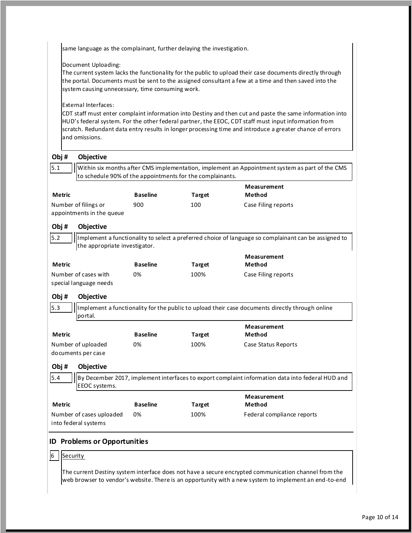same language as the complainant, further delaying the investigation.

#### Document Uploading:

 The current system lacks the functionality for the public to upload their case documents directly through the portal. Documents must be sent to the assigned consultant a few at a time and then saved into the system causing unnecessary, time consuming work.

#### External Interfaces:

**Objective** 

 CDT staff must enter complaint information into Destiny and then cut and paste the same information into HUD's federal system. For the other federal partner, the EEOC, CDT staff must input information from scratch. Redundant data entry results in longer processing time and introduce a greater chance of errors and omissions.

**Obj #** 

 Within six months after CMS implementation, implement an Appointment system as part of the CMS to schedule 90% of the appointments for the complainants. Implement a functionality to select a preferred choice of language so complainant can be assigned to the appropriate investigator. Implement a functionality for the public to upload their case documents directly through online  $5.1$ **Metric**  Number of filings or appointments in the queue **Baseline**  900 **Target**  100 **Measurement Method** Case Filing reports **Obj #**  5.2 **Objective Metric**  Number of cases with special language needs **Baseline**  0% **Target**  100% **Measurement Method** Case Filing reports **Obj #**  5.3 **Objective**  portal. **Metric**  Number of uploaded documents per case **Baseline**  0% **Target**  100% **Measurement Method** Case Status Reports **Obj #**  5.4 **Objective**  By December 2017, implement interfaces to export complaint information data into federal HUD and EEOC systems. **Metric**  Number of cases uploaded into federal systems **Baseline**  0% **Target**  100% **Measurement Method** Federal compliance reports **ID Problems or Opportunities**   $6$  | Security

 The current Destiny system interface does not have a secure encrypted communication channel from the web browser to vendor's website. There is an opportunity with a new system to implement an end-to-end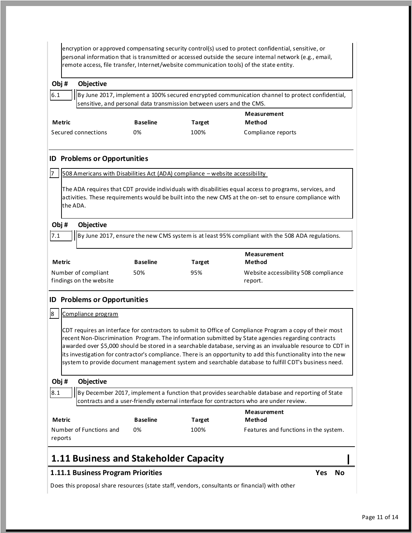|                                                                                                                                                                                                                                                                                                                                                                                                                                                                                                                                                        |               |                                                |                 |                                                                              | encryption or approved compensating security control(s) used to protect confidential, sensitive, or<br>personal information that is transmitted or accessed outside the secure internal network (e.g., email,<br>remote access, file transfer, Internet/website communication tools) of the state entity. |
|--------------------------------------------------------------------------------------------------------------------------------------------------------------------------------------------------------------------------------------------------------------------------------------------------------------------------------------------------------------------------------------------------------------------------------------------------------------------------------------------------------------------------------------------------------|---------------|------------------------------------------------|-----------------|------------------------------------------------------------------------------|-----------------------------------------------------------------------------------------------------------------------------------------------------------------------------------------------------------------------------------------------------------------------------------------------------------|
| Obj#                                                                                                                                                                                                                                                                                                                                                                                                                                                                                                                                                   |               | Objective                                      |                 |                                                                              |                                                                                                                                                                                                                                                                                                           |
| 6.1                                                                                                                                                                                                                                                                                                                                                                                                                                                                                                                                                    |               |                                                |                 | sensitive, and personal data transmission between users and the CMS.         | By June 2017, implement a 100% secured encrypted communication channel to protect confidential,                                                                                                                                                                                                           |
|                                                                                                                                                                                                                                                                                                                                                                                                                                                                                                                                                        | <b>Metric</b> |                                                | <b>Baseline</b> | <b>Target</b>                                                                | Measurement<br>Method                                                                                                                                                                                                                                                                                     |
|                                                                                                                                                                                                                                                                                                                                                                                                                                                                                                                                                        |               | Secured connections                            | 0%              | 100%                                                                         | Compliance reports                                                                                                                                                                                                                                                                                        |
|                                                                                                                                                                                                                                                                                                                                                                                                                                                                                                                                                        |               | <b>ID Problems or Opportunities</b>            |                 |                                                                              |                                                                                                                                                                                                                                                                                                           |
| 17                                                                                                                                                                                                                                                                                                                                                                                                                                                                                                                                                     |               |                                                |                 | 508 Americans with Disabilities Act (ADA) compliance - website accessibility |                                                                                                                                                                                                                                                                                                           |
|                                                                                                                                                                                                                                                                                                                                                                                                                                                                                                                                                        | the ADA.      |                                                |                 |                                                                              | The ADA requires that CDT provide individuals with disabilities equal access to programs, services, and<br>activities. These requirements would be built into the new CMS at the on-set to ensure compliance with                                                                                         |
|                                                                                                                                                                                                                                                                                                                                                                                                                                                                                                                                                        | Obj#          | Objective                                      |                 |                                                                              |                                                                                                                                                                                                                                                                                                           |
| 7.1                                                                                                                                                                                                                                                                                                                                                                                                                                                                                                                                                    |               |                                                |                 |                                                                              | By June 2017, ensure the new CMS system is at least 95% compliant with the 508 ADA regulations.                                                                                                                                                                                                           |
|                                                                                                                                                                                                                                                                                                                                                                                                                                                                                                                                                        | Metric        |                                                | <b>Baseline</b> | <b>Target</b>                                                                | Measurement<br>Method                                                                                                                                                                                                                                                                                     |
|                                                                                                                                                                                                                                                                                                                                                                                                                                                                                                                                                        |               | Number of compliant<br>findings on the website | 50%             | 95%                                                                          | Website accessibility 508 compliance<br>report.                                                                                                                                                                                                                                                           |
|                                                                                                                                                                                                                                                                                                                                                                                                                                                                                                                                                        |               | <b>ID Problems or Opportunities</b>            |                 |                                                                              |                                                                                                                                                                                                                                                                                                           |
| 8                                                                                                                                                                                                                                                                                                                                                                                                                                                                                                                                                      |               | Compliance program                             |                 |                                                                              |                                                                                                                                                                                                                                                                                                           |
| CDT requires an interface for contractors to submit to Office of Compliance Program a copy of their most<br>recent Non-Discrimination Program. The information submitted by State agencies regarding contracts<br>awarded over \$5,000 should be stored in a searchable database, serving as an invaluable resource to CDT in<br>its investigation for contractor's compliance. There is an opportunity to add this functionality into the new<br>system to provide document management system and searchable database to fulfill CDT's business need. |               |                                                |                 |                                                                              |                                                                                                                                                                                                                                                                                                           |
|                                                                                                                                                                                                                                                                                                                                                                                                                                                                                                                                                        | Obj#          | Objective                                      |                 |                                                                              |                                                                                                                                                                                                                                                                                                           |
| 8.1                                                                                                                                                                                                                                                                                                                                                                                                                                                                                                                                                    |               |                                                |                 |                                                                              | By December 2017, implement a function that provides searchable database and reporting of State<br>contracts and a user-friendly external interface for contractors who are under review.                                                                                                                 |
|                                                                                                                                                                                                                                                                                                                                                                                                                                                                                                                                                        | Metric        |                                                | <b>Baseline</b> | Target                                                                       | <b>Measurement</b><br>Method                                                                                                                                                                                                                                                                              |
|                                                                                                                                                                                                                                                                                                                                                                                                                                                                                                                                                        | reports       | Number of Functions and                        | 0%              | 100%                                                                         | Features and functions in the system.                                                                                                                                                                                                                                                                     |
|                                                                                                                                                                                                                                                                                                                                                                                                                                                                                                                                                        |               |                                                |                 | 1.11 Business and Stakeholder Capacity                                       |                                                                                                                                                                                                                                                                                                           |
|                                                                                                                                                                                                                                                                                                                                                                                                                                                                                                                                                        |               | 1.11.1 Business Program Priorities             |                 |                                                                              | Yes<br><b>No</b>                                                                                                                                                                                                                                                                                          |

Does this proposal share resources (state staff, vendors, consultants or financial) with other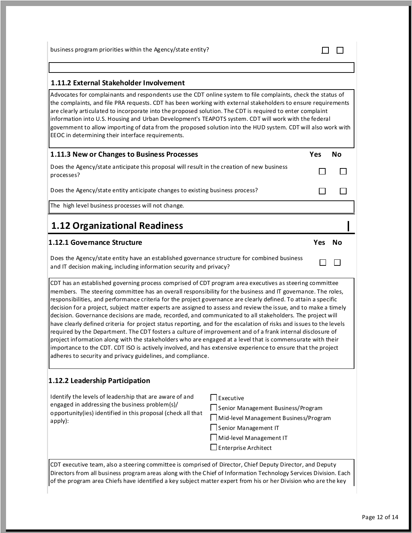business program priorities within the Agency/state entity?

| 1.11.2 External Stakeholder Involvement |  |
|-----------------------------------------|--|
|                                         |  |

Advocates for complainants and respondents use the CDT online system to file complaints, check the status of the complaints, and file PRA requests. CDT has been working with external stakeholders to ensure requirements are clearly articulated to incorporate into the proposed solution. The CDT is required to enter complaint information into U.S. Housing and Urban Development's TEAPOTS system. CDT will work with the federal government to allow importing of data from the proposed solution into the HUD system. CDT will also work with EEOC in determining their interface requirements.

| 1.11.3 New or Changes to Business Processes                                                              | Yes | Nο |
|----------------------------------------------------------------------------------------------------------|-----|----|
| Does the Agency/state anticipate this proposal will result in the creation of new business<br>processes? |     |    |
| Does the Agency/state entity anticipate changes to existing business process?                            |     |    |
| The high level business processes will not change.                                                       |     |    |
| <b>1.12 Organizational Readiness</b>                                                                     |     |    |
| 1.12.1 Governance Structure                                                                              | Yes |    |

Does the Agency/state entity have an established governance structure for combined business and IT decision making, including information security and privacy?

CDT has an established governing process comprised of CDT program area executives as steering committee members. The steering committee has an overall responsibility for the business and IT governance. The roles, responsibilities, and performance criteria for the project governance are clearly defined. To attain a specific decision for a project, subject matter experts are assigned to assess and review the issue, and to make a timely decision. Governance decisions are made, recorded, and communicated to all stakeholders. The project will have clearly defined criteria for project status reporting, and for the escalation of risks and issues to the levels required by the Department. The CDT fosters a culture of improvement and of a frank internal disclosure of project information along with the stakeholders who are engaged at a level that is commensurate with their importance to the CDT. CDT ISO is actively involved, and has extensive experience to ensure that the project adheres to security and privacy guidelines, and compliance.

### **1.12.2 Leadership Participation**

| Identify the levels of leadership that are aware of and<br>engaged in addressing the business problem(s)/<br>opportunity(ies) identified in this proposal (check all that<br>apply): | Executive<br>Senior Management Business/Program<br>Mid-level Management Business/Program<br>Senior Management IT |
|--------------------------------------------------------------------------------------------------------------------------------------------------------------------------------------|------------------------------------------------------------------------------------------------------------------|
|                                                                                                                                                                                      | Mid-level Management IT                                                                                          |
|                                                                                                                                                                                      | $\Box$ Enterprise Architect                                                                                      |

CDT executive team, also a steering committee is comprised of Director, Chief Deputy Director, and Deputy Directors from all business program areas along with the Chief of Information Technology Services Division. Each of the program area Chiefs have identified a key subject matter expert from his or her Division who are the key

 $\Box$  $\Box$ 

 $\Box$  $\Box$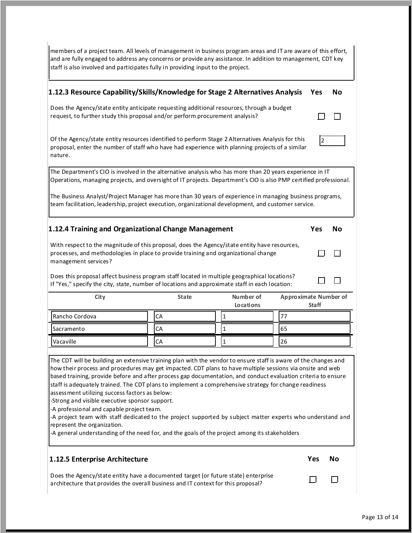| staff is also involved and participates fully in providing input to the project.                                                                                                                                                                                                                                                                                                                                                                                                                                                                                          | members of a project team. All levels of management in business program areas and IT are aware of this effort,<br>and are fully engaged to address any concerns or provide any assistance. In addition to management, CDT key |              |                              |                |    |
|---------------------------------------------------------------------------------------------------------------------------------------------------------------------------------------------------------------------------------------------------------------------------------------------------------------------------------------------------------------------------------------------------------------------------------------------------------------------------------------------------------------------------------------------------------------------------|-------------------------------------------------------------------------------------------------------------------------------------------------------------------------------------------------------------------------------|--------------|------------------------------|----------------|----|
| 1.12.3 Resource Capability/Skills/Knowledge for Stage 2 Alternatives Analysis                                                                                                                                                                                                                                                                                                                                                                                                                                                                                             |                                                                                                                                                                                                                               |              |                              | Yes            | No |
| Does the Agency/state entity anticipate requesting additional resources, through a budget<br>request, to further study this proposal and/or perform procurement analysis?                                                                                                                                                                                                                                                                                                                                                                                                 |                                                                                                                                                                                                                               |              |                              |                |    |
| Of the Agency/state entity resources identified to perform Stage 2 Alternatives Analysis for this<br>proposal, enter the number of staff who have had experience with planning projects of a similar<br>nature.                                                                                                                                                                                                                                                                                                                                                           |                                                                                                                                                                                                                               |              |                              | $\overline{2}$ |    |
| The Department's CIO is involved in the alternative analysis who has more than 20 years experience in IT<br>Operations, managing projects, and oversight of IT projects. Department's CIO is also PMP certified professional.                                                                                                                                                                                                                                                                                                                                             |                                                                                                                                                                                                                               |              |                              |                |    |
| The Business Analyst/Project Manager has more than 30 years of experience in managing business programs,<br>team facilitation, leadership, project execution, organizational development, and customer service.                                                                                                                                                                                                                                                                                                                                                           |                                                                                                                                                                                                                               |              |                              |                |    |
| 1.12.4 Training and Organizational Change Management                                                                                                                                                                                                                                                                                                                                                                                                                                                                                                                      |                                                                                                                                                                                                                               |              |                              | Yes            | No |
| With respect to the magnitude of this proposal, does the Agency/state entity have resources,<br>processes, and methodologies in place to provide training and organizational change<br>management services?<br>Does this proposal affect business program staff located in multiple geographical locations?<br>If "Yes," specify the city, state, number of locations and approximate staff in each location:                                                                                                                                                             |                                                                                                                                                                                                                               |              |                              |                |    |
| City                                                                                                                                                                                                                                                                                                                                                                                                                                                                                                                                                                      | <b>State</b>                                                                                                                                                                                                                  | Number of    | <b>Approximate Number of</b> |                |    |
|                                                                                                                                                                                                                                                                                                                                                                                                                                                                                                                                                                           |                                                                                                                                                                                                                               | Locations    |                              | <b>Staff</b>   |    |
| Rancho Cordova                                                                                                                                                                                                                                                                                                                                                                                                                                                                                                                                                            | CA                                                                                                                                                                                                                            | 1            | 77                           |                |    |
| Sacramento                                                                                                                                                                                                                                                                                                                                                                                                                                                                                                                                                                | CA                                                                                                                                                                                                                            | $\mathbf{1}$ | 65                           |                |    |
| Vacaville                                                                                                                                                                                                                                                                                                                                                                                                                                                                                                                                                                 | CA                                                                                                                                                                                                                            | 1            | 26                           |                |    |
| -Strong and visible executive sponsor support.<br>-A professional and capable project team.<br>-A project team with staff dedicated to the project supported by subject matter experts who understand and<br>-A general understanding of the need for, and the goals of the project among its stakeholders                                                                                                                                                                                                                                                                |                                                                                                                                                                                                                               |              |                              |                |    |
| The CDT will be building an extensive training plan with the vendor to ensure staff is aware of the changes and<br>how their process and procedures may get impacted. CDT plans to have multiple sessions via onsite and web<br>based training, provide before and after process gap documentation, and conduct evaluation criteria to ensure<br>staff is adequately trained. The CDT plans to implement a comprehensive strategy for change readiness<br>assessment utilizing success factors as below:<br>represent the organization.<br>1.12.5 Enterprise Architecture |                                                                                                                                                                                                                               |              |                              | Yes            | No |